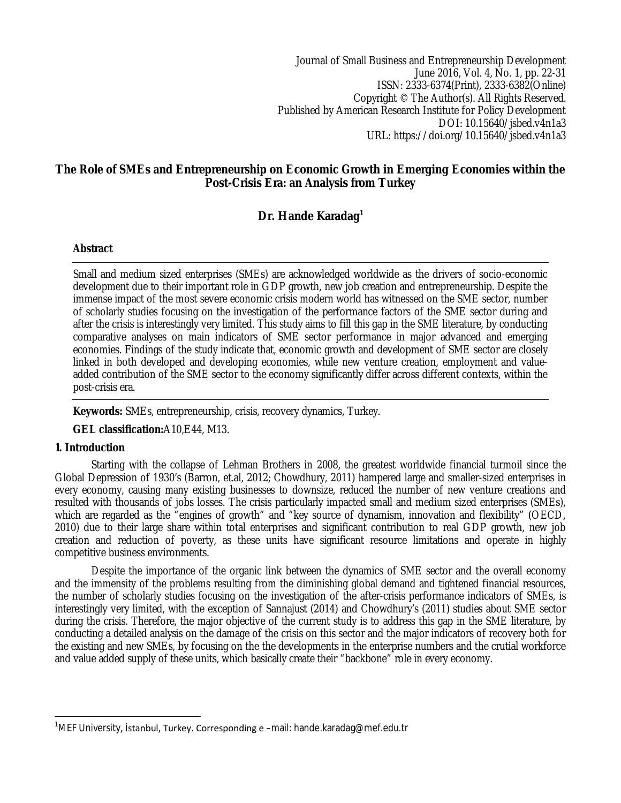Journal of Small Business and Entrepreneurship Development June 2016, Vol. 4, No. 1, pp. 22-31 ISSN: 2333-6374(Print), 2333-6382(Online) Copyright © The Author(s). All Rights Reserved. Published by American Research Institute for Policy Development DOI: 10.15640/jsbed.v4n1a3 URL: https://doi.org/10.15640/jsbed.v4n1a3

# **The Role of SMEs and Entrepreneurship on Economic Growth in Emerging Economies within the Post-Crisis Era: an Analysis from Turkey**

# **Dr. Hande Karadag<sup>1</sup>**

# **Abstract**

Small and medium sized enterprises (SMEs) are acknowledged worldwide as the drivers of socio-economic development due to their important role in GDP growth, new job creation and entrepreneurship. Despite the immense impact of the most severe economic crisis modern world has witnessed on the SME sector, number of scholarly studies focusing on the investigation of the performance factors of the SME sector during and after the crisis is interestingly very limited. This study aims to fill this gap in the SME literature, by conducting comparative analyses on main indicators of SME sector performance in major advanced and emerging economies. Findings of the study indicate that, economic growth and development of SME sector are closely linked in both developed and developing economies, while new venture creation, employment and valueadded contribution of the SME sector to the economy significantly differ across different contexts, within the post-crisis era.

**Keywords:** SMEs, entrepreneurship, crisis, recovery dynamics, Turkey.

# **GEL classification:**A10,E44, M13.

# **1. Introduction**

Starting with the collapse of Lehman Brothers in 2008, the greatest worldwide financial turmoil since the Global Depression of 1930's (Barron, et.al, 2012; Chowdhury, 2011) hampered large and smaller-sized enterprises in every economy, causing many existing businesses to downsize, reduced the number of new venture creations and resulted with thousands of jobs losses. The crisis particularly impacted small and medium sized enterprises (SMEs), which are regarded as the "engines of growth" and "key source of dynamism, innovation and flexibility" (OECD, 2010) due to their large share within total enterprises and significant contribution to real GDP growth, new job creation and reduction of poverty, as these units have significant resource limitations and operate in highly competitive business environments.

Despite the importance of the organic link between the dynamics of SME sector and the overall economy and the immensity of the problems resulting from the diminishing global demand and tightened financial resources, the number of scholarly studies focusing on the investigation of the after-crisis performance indicators of SMEs, is interestingly very limited, with the exception of Sannajust (2014) and Chowdhury's (2011) studies about SME sector during the crisis. Therefore, the major objective of the current study is to address this gap in the SME literature, by conducting a detailed analysis on the damage of the crisis on this sector and the major indicators of recovery both for the existing and new SMEs, by focusing on the the developments in the enterprise numbers and the crutial workforce and value added supply of these units, which basically create their "backbone" role in every economy.

 $\overline{a}$ <sup>1</sup>MEF University, İstanbul, Turkey. Corresponding e –mail: hande.karadag@mef.edu.tr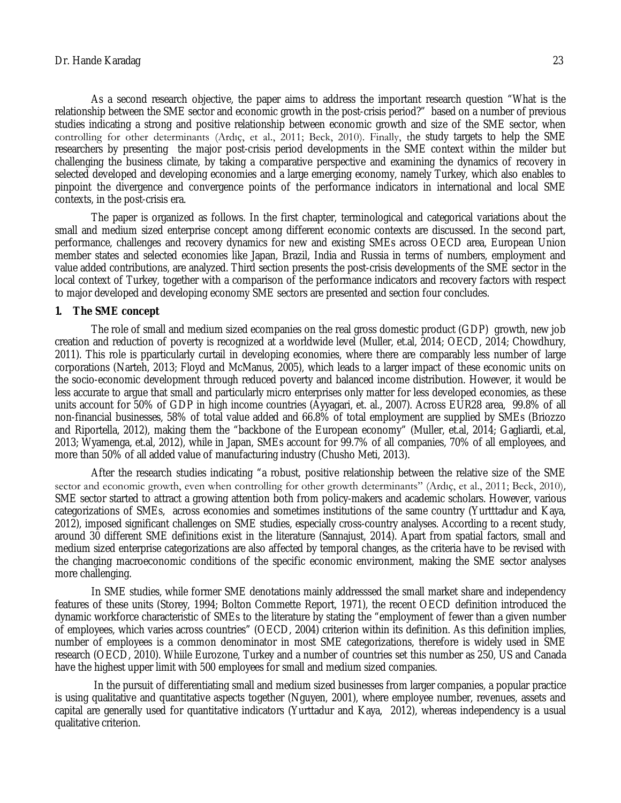As a second research objective, the paper aims to address the important research question "What is the relationship between the SME sector and economic growth in the post-crisis period?" based on a number of previous studies indicating a strong and positive relationship between economic growth and size of the SME sector, when controlling for other determinants (Ardıç, et al., 2011; Beck, 2010). Finally, the study targets to help the SME researchers by presenting the major post-crisis period developments in the SME context within the milder but challenging the business climate, by taking a comparative perspective and examining the dynamics of recovery in selected developed and developing economies and a large emerging economy, namely Turkey, which also enables to pinpoint the divergence and convergence points of the performance indicators in international and local SME contexts, in the post-crisis era.

The paper is organized as follows. In the first chapter, terminological and categorical variations about the small and medium sized enterprise concept among different economic contexts are discussed. In the second part, performance, challenges and recovery dynamics for new and existing SMEs across OECD area, European Union member states and selected economies like Japan, Brazil, India and Russia in terms of numbers, employment and value added contributions, are analyzed. Third section presents the post-crisis developments of the SME sector in the local context of Turkey, together with a comparison of the performance indicators and recovery factors with respect to major developed and developing economy SME sectors are presented and section four concludes.

### **1. The SME concept**

The role of small and medium sized ecompanies on the real gross domestic product (GDP) growth, new job creation and reduction of poverty is recognized at a worldwide level (Muller, et.al, 2014; OECD, 2014; Chowdhury, 2011). This role is pparticularly curtail in developing economies, where there are comparably less number of large corporations (Narteh, 2013; Floyd and McManus, 2005), which leads to a larger impact of these economic units on the socio-economic development through reduced poverty and balanced income distribution. However, it would be less accurate to argue that small and particularly micro enterprises only matter for less developed economies, as these units account for 50% of GDP in high income countries (Ayyagari, et. al., 2007). Across EUR28 area, 99.8% of all non-financial businesses, 58% of total value added and 66.8% of total employment are supplied by SMEs (Briozzo and Riportella, 2012), making them the "backbone of the European economy" (Muller, et.al, 2014; Gagliardi, et.al, 2013; Wyamenga, et.al, 2012), while in Japan, SMEs account for 99.7% of all companies, 70% of all employees, and more than 50% of all added value of manufacturing industry (Chusho Meti, 2013).

After the research studies indicating "a robust, positive relationship between the relative size of the SME sector and economic growth, even when controlling for other growth determinants" (Ardıc, et al., 2011; Beck, 2010), SME sector started to attract a growing attention both from policy-makers and academic scholars. However, various categorizations of SMEs, across economies and sometimes institutions of the same country (Yurtttadur and Kaya, 2012), imposed significant challenges on SME studies, especially cross-country analyses. According to a recent study, around 30 different SME definitions exist in the literature (Sannajust, 2014). Apart from spatial factors, small and medium sized enterprise categorizations are also affected by temporal changes, as the criteria have to be revised with the changing macroeconomic conditions of the specific economic environment, making the SME sector analyses more challenging.

In SME studies, while former SME denotations mainly addresssed the small market share and independency features of these units (Storey, 1994; Bolton Commette Report, 1971), the recent OECD definition introduced the dynamic workforce characteristic of SMEs to the literature by stating the "employment of fewer than a given number of employees, which varies across countries" (OECD, 2004) criterion within its definition. As this definition implies, number of employees is a common denominator in most SME categorizations, therefore is widely used in SME research (OECD, 2010). Whiile Eurozone, Turkey and a number of countries set this number as 250, US and Canada have the highest upper limit with 500 employees for small and medium sized companies.

In the pursuit of differentiating small and medium sized businesses from larger companies, a popular practice is using qualitative and quantitative aspects together (Nguyen, 2001), where employee number, revenues, assets and capital are generally used for quantitative indicators (Yurttadur and Kaya, 2012), whereas independency is a usual qualitative criterion.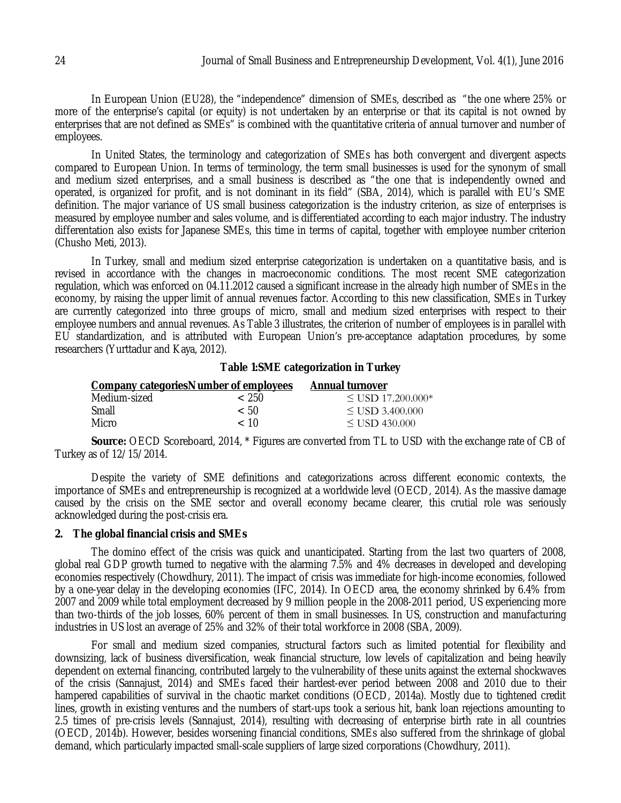In European Union (EU28), the "independence" dimension of SMEs, described as "the one where 25% or more of the enterprise's capital (or equity) is not undertaken by an enterprise or that its capital is not owned by enterprises that are not defined as SMEs" is combined with the quantitative criteria of annual turnover and number of employees.

In United States, the terminology and categorization of SMEs has both convergent and divergent aspects compared to European Union. In terms of terminology, the term small businesses is used for the synonym of small and medium sized enterprises, and a small business is described as "the one that is independently owned and operated, is organized for profit, and is not dominant in its field" (SBA, 2014), which is parallel with EU's SME definition. The major variance of US small business categorization is the industry criterion, as size of enterprises is measured by employee number and sales volume, and is differentiated according to each major industry. The industry differentation also exists for Japanese SMEs, this time in terms of capital, together with employee number criterion (Chusho Meti, 2013).

In Turkey, small and medium sized enterprise categorization is undertaken on a quantitative basis, and is revised in accordance with the changes in macroeconomic conditions. The most recent SME categorization regulation, which was enforced on 04.11.2012 caused a significant increase in the already high number of SMEs in the economy, by raising the upper limit of annual revenues factor. According to this new classification, SMEs in Turkey are currently categorized into three groups of micro, small and medium sized enterprises with respect to their employee numbers and annual revenues. As Table 3 illustrates, the criterion of number of employees is in parallel with EU standardization, and is attributed with European Union's pre-acceptance adaptation procedures, by some researchers (Yurttadur and Kaya, 2012).

# **Table 1:SME categorization in Turkey**

|              | <b>Company categories Number of employees</b> | <b>Annual turnover</b> |  |
|--------------|-----------------------------------------------|------------------------|--|
| Medium-sized | ~< 250                                        | $\leq$ USD 17.200.000* |  |
| Small        | < 50                                          | $\leq$ USD 3.400.000   |  |
| Micro        | < 10                                          | $\leq$ USD 430.000     |  |

**Source:** OECD Scoreboard, 2014, \* Figures are converted from TL to USD with the exchange rate of CB of Turkey as of 12/15/2014.

Despite the variety of SME definitions and categorizations across different economic contexts, the importance of SMEs and entrepreneurship is recognized at a worldwide level (OECD, 2014). As the massive damage caused by the crisis on the SME sector and overall economy became clearer, this crutial role was seriously acknowledged during the post-crisis era.

### **2. The global financial crisis and SMEs**

The domino effect of the crisis was quick and unanticipated. Starting from the last two quarters of 2008, global real GDP growth turned to negative with the alarming 7.5% and 4% decreases in developed and developing economies respectively (Chowdhury, 2011). The impact of crisis was immediate for high-income economies, followed by a one-year delay in the developing economies (IFC, 2014). In OECD area, the economy shrinked by 6.4% from 2007 and 2009 while total employment decreased by 9 million people in the 2008-2011 period, US experiencing more than two-thirds of the job losses, 60% percent of them in small businesses. In US, construction and manufacturing industries in US lost an average of 25% and 32% of their total workforce in 2008 (SBA, 2009).

For small and medium sized companies, structural factors such as limited potential for flexibility and downsizing, lack of business diversification, weak financial structure, low levels of capitalization and being heavily dependent on external financing, contributed largely to the vulnerability of these units against the external shockwaves of the crisis (Sannajust, 2014) and SMEs faced their hardest-ever period between 2008 and 2010 due to their hampered capabilities of survival in the chaotic market conditions (OECD, 2014a). Mostly due to tightened credit lines, growth in existing ventures and the numbers of start-ups took a serious hit, bank loan rejections amounting to 2.5 times of pre-crisis levels (Sannajust, 2014), resulting with decreasing of enterprise birth rate in all countries (OECD, 2014b). However, besides worsening financial conditions, SMEs also suffered from the shrinkage of global demand, which particularly impacted small-scale suppliers of large sized corporations (Chowdhury, 2011).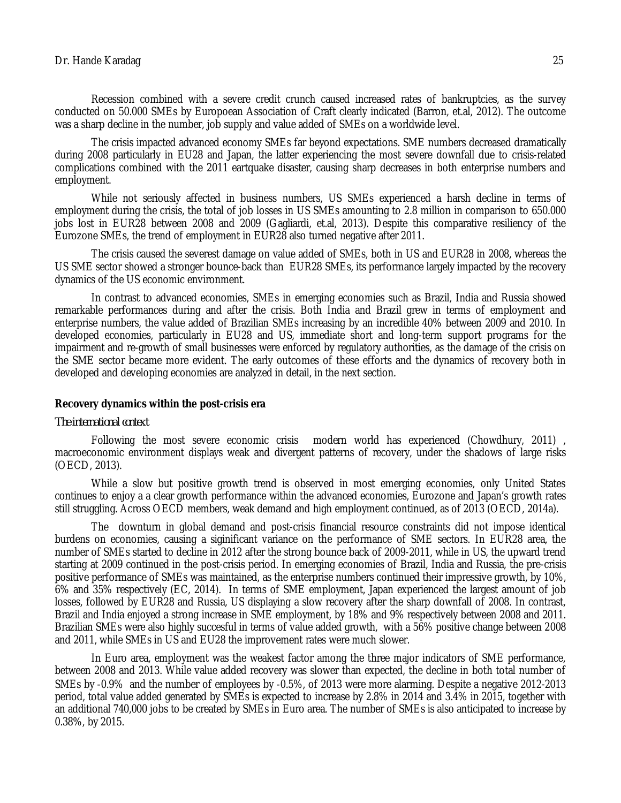Recession combined with a severe credit crunch caused increased rates of bankruptcies, as the survey conducted on 50.000 SMEs by Europoean Association of Craft clearly indicated (Barron, et.al, 2012). The outcome was a sharp decline in the number, job supply and value added of SMEs on a worldwide level.

The crisis impacted advanced economy SMEs far beyond expectations. SME numbers decreased dramatically during 2008 particularly in EU28 and Japan, the latter experiencing the most severe downfall due to crisis-related complications combined with the 2011 eartquake disaster, causing sharp decreases in both enterprise numbers and employment.

While not seriously affected in business numbers, US SMEs experienced a harsh decline in terms of employment during the crisis, the total of job losses in US SMEs amounting to 2.8 million in comparison to 650.000 jobs lost in EUR28 between 2008 and 2009 (Gagliardi, et.al, 2013). Despite this comparative resiliency of the Eurozone SMEs, the trend of employment in EUR28 also turned negative after 2011.

The crisis caused the severest damage on value added of SMEs, both in US and EUR28 in 2008, whereas the US SME sector showed a stronger bounce-back than EUR28 SMEs, its performance largely impacted by the recovery dynamics of the US economic environment.

In contrast to advanced economies, SMEs in emerging economies such as Brazil, India and Russia showed remarkable performances during and after the crisis. Both India and Brazil grew in terms of employment and enterprise numbers, the value added of Brazilian SMEs increasing by an incredible 40% between 2009 and 2010. In developed economies, particularly in EU28 and US, immediate short and long-term support programs for the impairment and re-growth of small businesses were enforced by regulatory authorities, as the damage of the crisis on the SME sector became more evident. The early outcomes of these efforts and the dynamics of recovery both in developed and developing economies are analyzed in detail, in the next section.

### **Recovery dynamics within the post-crisis era**

#### *The international context*

Following the most severe economic crisis modern world has experienced (Chowdhury, 2011) , macroeconomic environment displays weak and divergent patterns of recovery, under the shadows of large risks (OECD, 2013).

While a slow but positive growth trend is observed in most emerging economies, only United States continues to enjoy a a clear growth performance within the advanced economies, Eurozone and Japan's growth rates still struggling. Across OECD members, weak demand and high employment continued, as of 2013 (OECD, 2014a).

The downturn in global demand and post-crisis financial resource constraints did not impose identical burdens on economies, causing a siginificant variance on the performance of SME sectors. In EUR28 area, the number of SMEs started to decline in 2012 after the strong bounce back of 2009-2011, while in US, the upward trend starting at 2009 continued in the post-crisis period. In emerging economies of Brazil, India and Russia, the pre-crisis positive performance of SMEs was maintained, as the enterprise numbers continued their impressive growth, by 10%, 6% and 35% respectively (EC, 2014). In terms of SME employment, Japan experienced the largest amount of job losses, followed by EUR28 and Russia, US displaying a slow recovery after the sharp downfall of 2008. In contrast, Brazil and India enjoyed a strong increase in SME employment, by 18% and 9% respectively between 2008 and 2011. Brazilian SMEs were also highly succesful in terms of value added growth, with a 56% positive change between 2008 and 2011, while SMEs in US and EU28 the improvement rates were much slower.

In Euro area, employment was the weakest factor among the three major indicators of SME performance, between 2008 and 2013. While value added recovery was slower than expected, the decline in both total number of SMEs by ‐0.9% and the number of employees by ‐0.5%, of 2013 were more alarming. Despite a negative 2012-2013 period, total value added generated by SMEs is expected to increase by 2.8% in 2014 and 3.4% in 2015, together with an additional 740,000 jobs to be created by SMEs in Euro area. The number of SMEs is also anticipated to increase by 0.38%, by 2015.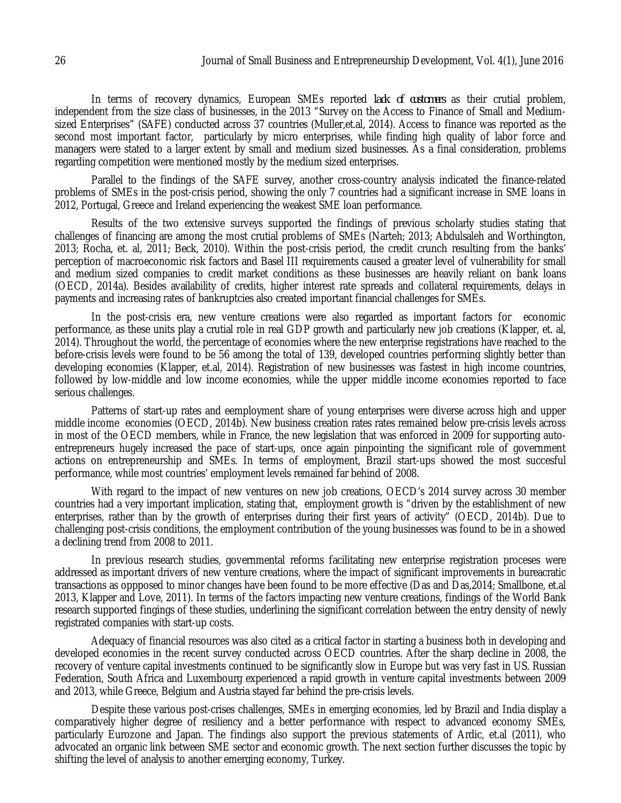In terms of recovery dynamics, European SMEs reported *lack of customers* as their crutial problem, independent from the size class of businesses, in the 2013 "Survey on the Access to Finance of Small and Mediumsized Enterprises" (SAFE) conducted across 37 countries (Muller,et.al, 2014). Access to finance was reported as the second most important factor, particularly by micro enterprises, while finding high quality of labor force and managers were stated to a larger extent by small and medium sized businesses. As a final consideration, problems regarding competition were mentioned mostly by the medium sized enterprises.

Parallel to the findings of the SAFE survey, another cross-country analysis indicated the finance-related problems of SMEs in the post-crisis period, showing the only 7 countries had a significant increase in SME loans in 2012, Portugal, Greece and Ireland experiencing the weakest SME loan performance.

Results of the two extensive surveys supported the findings of previous scholarly studies stating that challenges of financing are among the most crutial problems of SMEs (Narteh; 2013; Abdulsaleh and Worthington, 2013; Rocha, et. al, 2011; Beck, 2010). Within the post-crisis period, the credit crunch resulting from the banks' perception of macroeconomic risk factors and Basel III requirements caused a greater level of vulnerability for small and medium sized companies to credit market conditions as these businesses are heavily reliant on bank loans (OECD, 2014a). Besides availability of credits, higher interest rate spreads and collateral requirements, delays in payments and increasing rates of bankruptcies also created important financial challenges for SMEs.

In the post-crisis era, new venture creations were also regarded as important factors for economic performance, as these units play a crutial role in real GDP growth and particularly new job creations (Klapper, et. al, 2014). Throughout the world, the percentage of economies where the new enterprise registrations have reached to the before-crisis levels were found to be 56 among the total of 139, developed countries performing slightly better than developing economies (Klapper, et.al, 2014). Registration of new businesses was fastest in high income countries, followed by low-middle and low income economies, while the upper middle income economies reported to face serious challenges.

Patterns of start-up rates and eemployment share of young enterprises were diverse across high and upper middle income economies (OECD, 2014b). New business creation rates rates remained below pre-crisis levels across in most of the OECD members, while in France, the new legislation that was enforced in 2009 for supporting autoentrepreneurs hugely increased the pace of start-ups, once again pinpointing the significant role of government actions on entrepreneurship and SMEs. In terms of employment, Brazil start-ups showed the most succesful performance, while most countries' employment levels remained far behind of 2008.

With regard to the impact of new ventures on new job creations, OECD's 2014 survey across 30 member countries had a very important implication, stating that, employment growth is "driven by the establishment of new enterprises, rather than by the growth of enterprises during their first years of activity" (OECD, 2014b). Due to challenging post-crisis conditions, the employment contribution of the young businesses was found to be in a showed a declining trend from 2008 to 2011.

In previous research studies, governmental reforms facilitating new enterprise registration proceses were addressed as important drivers of new venture creations, where the impact of significant improvements in bureacratic transactions as oppposed to minor changes have been found to be more effective (Das and Das,2014; Smallbone, et.al 2013, Klapper and Love, 2011). In terms of the factors impacting new venture creations, findings of the World Bank research supported fingings of these studies, underlining the significant correlation between the entry density of newly registrated companies with start-up costs.

Adequacy of financial resources was also cited as a critical factor in starting a business both in developing and developed economies in the recent survey conducted across OECD countries. After the sharp decline in 2008, the recovery of venture capital investments continued to be significantly slow in Europe but was very fast in US. Russian Federation, South Africa and Luxembourg experienced a rapid growth in venture capital investments between 2009 and 2013, while Greece, Belgium and Austria stayed far behind the pre-crisis levels.

Despite these various post-crises challenges, SMEs in emerging economies, led by Brazil and India display a comparatively higher degree of resiliency and a better performance with respect to advanced economy SMEs, particularly Eurozone and Japan. The findings also support the previous statements of Ardic, et.al (2011), who advocated an organic link between SME sector and economic growth. The next section further discusses the topic by shifting the level of analysis to another emerging economy, Turkey.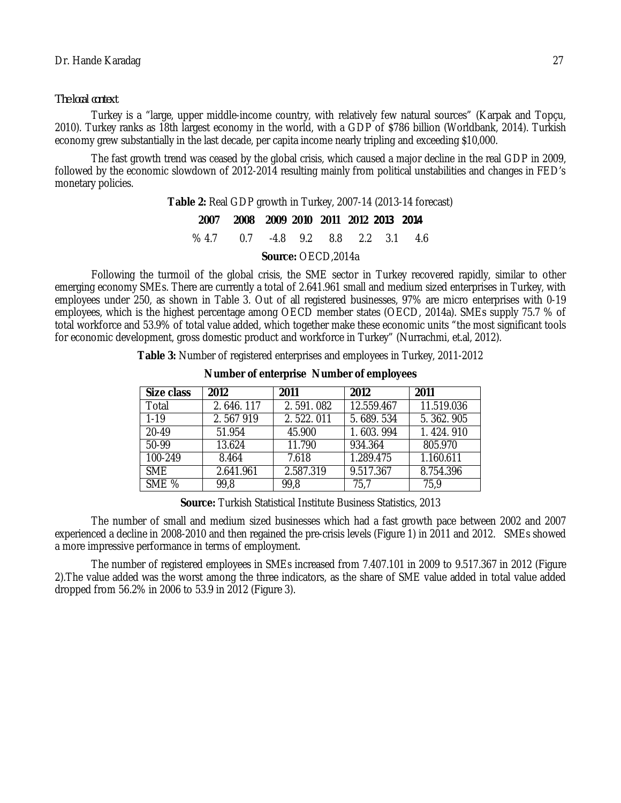### *The local context*

Turkey is a "large, upper middle-income country, with relatively few natural sources" (Karpak and Topçu, 2010). Turkey ranks as 18th largest economy in the world, with a GDP of \$786 billion (Worldbank, 2014). Turkish economy grew substantially in the last decade, per capita income nearly tripling and exceeding \$10,000.

The fast growth trend was ceased by the global crisis, which caused a major decline in the real GDP in 2009, followed by the economic slowdown of 2012-2014 resulting mainly from political unstabilities and changes in FED's monetary policies.

> **Table 2:** Real GDP growth in Turkey, 2007-14 (2013-14 forecast) **2007 2008 2009 2010 2011 2012** *2013 2014* % 4.7 0.7 -4.8 9.2 8.8 2.2 3.1 4.6

> > **Source:** OECD,2014a

Following the turmoil of the global crisis, the SME sector in Turkey recovered rapidly, similar to other emerging economy SMEs. There are currently a total of 2.641.961 small and medium sized enterprises in Turkey, with employees under 250, as shown in Table 3. Out of all registered businesses, 97% are micro enterprises with 0-19 employees, which is the highest percentage among OECD member states (OECD, 2014a). SMEs supply 75.7 % of total workforce and 53.9% of total value added, which together make these economic units "the most significant tools for economic development, gross domestic product and workforce in Turkey" (Nurrachmi, et.al, 2012).

**Table 3:** Number of registered enterprises and employees in Turkey, 2011-2012

| Size class | 2012      | 2011      | 2012       | 2011       |
|------------|-----------|-----------|------------|------------|
| Total      | 2.646.117 | 2.591.082 | 12.559.467 | 11.519.036 |
| $1 - 19$   | 2.567919  | 2.522.011 | 5.689.534  | 5.362.905  |
| 20-49      | 51.954    | 45.900    | 1.603.994  | 1.424.910  |
| $50-99$    | 13.624    | 11.790    | 934.364    | 805.970    |
| 100-249    | 8.464     | 7.618     | 1.289.475  | 1.160.611  |
| SME.       | 2.641.961 | 2.587.319 | 9.517.367  | 8.754.396  |
| SME %      | 99,8      | 99,8      | 75,7       | 75,9       |

### **Number of enterprise Number of employees**

**Source:** Turkish Statistical Institute Business Statistics, 2013

The number of small and medium sized businesses which had a fast growth pace between 2002 and 2007 experienced a decline in 2008-2010 and then regained the pre-crisis levels (Figure 1) in 2011 and 2012. SMEs showed a more impressive performance in terms of employment.

The number of registered employees in SMEs increased from 7.407.101 in 2009 to 9.517.367 in 2012 (Figure 2).The value added was the worst among the three indicators, as the share of SME value added in total value added dropped from 56.2% in 2006 to 53.9 in 2012 (Figure 3).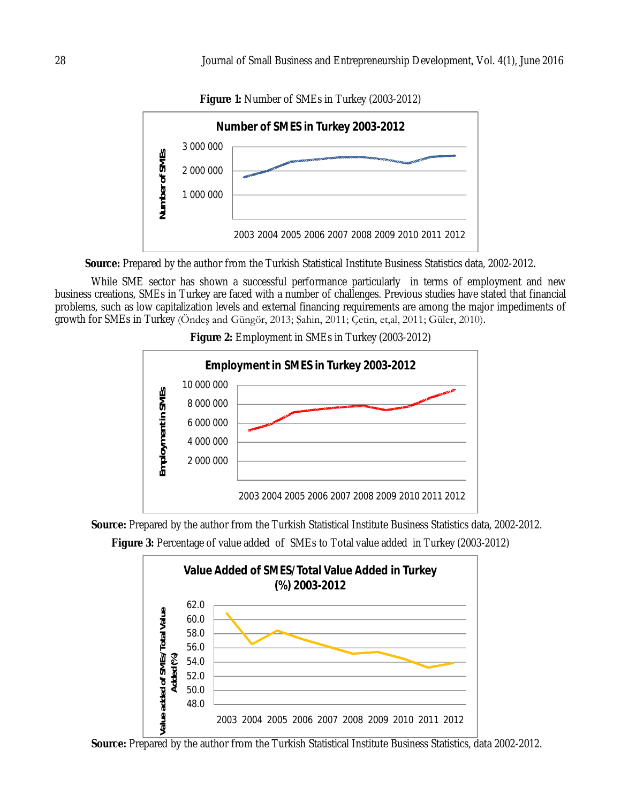

**Figure 1:** Number of SMEs in Turkey (2003-2012)

**Source:** Prepared by the author from the Turkish Statistical Institute Business Statistics data, 2002-2012.

While SME sector has shown a successful performance particularly in terms of employment and new business creations, SMEs in Turkey are faced with a number of challenges. Previous studies have stated that financial problems, such as low capitalization levels and external financing requirements are among the major impediments of growth for SMEs in Turkey (Öndeş and Güngör, 2013; Şahin, 2011; Çetin, et,al, 2011; Güler, 2010).



**Figure 2:** Employment in SMEs in Turkey (2003-2012)

**Source:** Prepared by the author from the Turkish Statistical Institute Business Statistics data, 2002-2012.





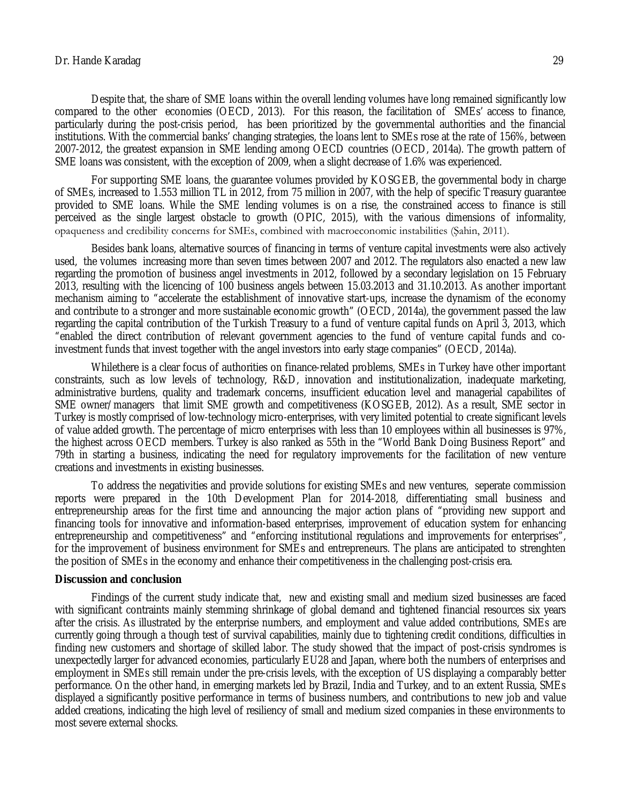### Dr. Hande Karadag 29

Despite that, the share of SME loans within the overall lending volumes have long remained significantly low compared to the other economies (OECD, 2013). For this reason, the facilitation of SMEs' access to finance, particularly during the post-crisis period, has been prioritized by the governmental authorities and the financial institutions. With the commercial banks' changing strategies, the loans lent to SMEs rose at the rate of 156%, between 2007-2012, the greatest expansion in SME lending among OECD countries (OECD, 2014a). The growth pattern of SME loans was consistent, with the exception of 2009, when a slight decrease of 1.6% was experienced.

For supporting SME loans, the guarantee volumes provided by KOSGEB, the governmental body in charge of SMEs, increased to 1.553 million TL in 2012, from 75 million in 2007, with the help of specific Treasury guarantee provided to SME loans. While the SME lending volumes is on a rise, the constrained access to finance is still perceived as the single largest obstacle to growth (OPIC, 2015), with the various dimensions of informality, opaqueness and credibility concerns for SMEs, combined with macroeconomic instabilities (Şahin, 2011).

Besides bank loans, alternative sources of financing in terms of venture capital investments were also actively used, the volumes increasing more than seven times between 2007 and 2012. The regulators also enacted a new law regarding the promotion of business angel investments in 2012, followed by a secondary legislation on 15 February 2013, resulting with the licencing of 100 business angels between 15.03.2013 and 31.10.2013. As another important mechanism aiming to "accelerate the establishment of innovative start-ups, increase the dynamism of the economy and contribute to a stronger and more sustainable economic growth" (OECD, 2014a), the government passed the law regarding the capital contribution of the Turkish Treasury to a fund of venture capital funds on April 3, 2013, which "enabled the direct contribution of relevant government agencies to the fund of venture capital funds and coinvestment funds that invest together with the angel investors into early stage companies" (OECD, 2014a).

Whilethere is a clear focus of authorities on finance-related problems, SMEs in Turkey have other important constraints, such as low levels of technology, R&D, innovation and institutionalization, inadequate marketing, administrative burdens, quality and trademark concerns, insufficient education level and managerial capabilites of SME owner/managers that limit SME growth and competitiveness (KOSGEB, 2012). As a result, SME sector in Turkey is mostly comprised of low-technology micro-enterprises, with very limited potential to create significant levels of value added growth. The percentage of micro enterprises with less than 10 employees within all businesses is 97%, the highest across OECD members. Turkey is also ranked as 55th in the "World Bank Doing Business Report" and 79th in starting a business, indicating the need for regulatory improvements for the facilitation of new venture creations and investments in existing businesses.

To address the negativities and provide solutions for existing SMEs and new ventures, seperate commission reports were prepared in the 10th Development Plan for 2014-2018, differentiating small business and entrepreneurship areas for the first time and announcing the major action plans of "providing new support and financing tools for innovative and information-based enterprises, improvement of education system for enhancing entrepreneurship and competitiveness" and "enforcing institutional regulations and improvements for enterprises", for the improvement of business environment for SMEs and entrepreneurs. The plans are anticipated to strenghten the position of SMEs in the economy and enhance their competitiveness in the challenging post-crisis era.

#### **Discussion and conclusion**

Findings of the current study indicate that, new and existing small and medium sized businesses are faced with significant contraints mainly stemming shrinkage of global demand and tightened financial resources six years after the crisis. As illustrated by the enterprise numbers, and employment and value added contributions, SMEs are currently going through a though test of survival capabilities, mainly due to tightening credit conditions, difficulties in finding new customers and shortage of skilled labor. The study showed that the impact of post-crisis syndromes is unexpectedly larger for advanced economies, particularly EU28 and Japan, where both the numbers of enterprises and employment in SMEs still remain under the pre-crisis levels, with the exception of US displaying a comparably better performance. On the other hand, in emerging markets led by Brazil, India and Turkey, and to an extent Russia, SMEs displayed a significantly positive performance in terms of business numbers, and contributions to new job and value added creations, indicating the high level of resiliency of small and medium sized companies in these environments to most severe external shocks.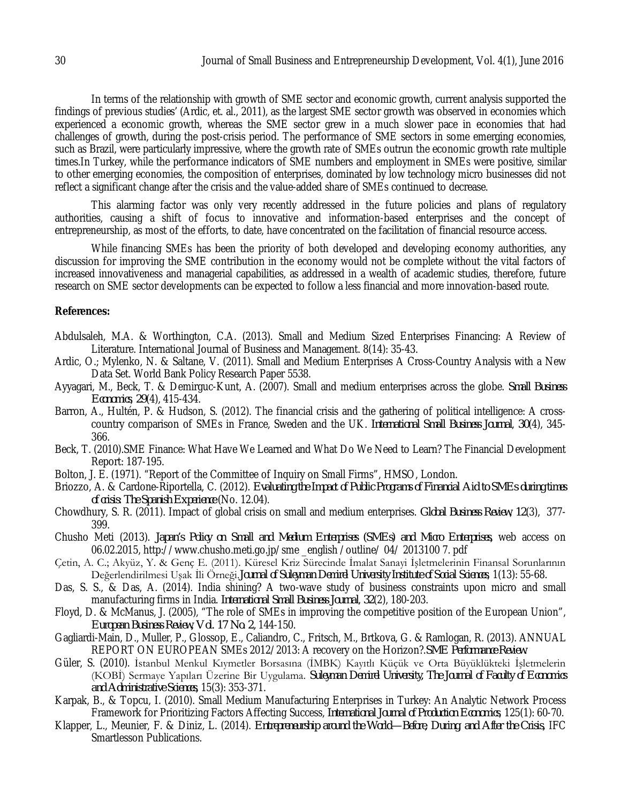In terms of the relationship with growth of SME sector and economic growth, current analysis supported the findings of previous studies' (Ardic, et. al., 2011), as the largest SME sector growth was observed in economies which experienced a economic growth, whereas the SME sector grew in a much slower pace in economies that had challenges of growth, during the post-crisis period. The performance of SME sectors in some emerging economies, such as Brazil, were particularly impressive, where the growth rate of SMEs outrun the economic growth rate multiple times.In Turkey, while the performance indicators of SME numbers and employment in SMEs were positive, similar to other emerging economies, the composition of enterprises, dominated by low technology micro businesses did not reflect a significant change after the crisis and the value-added share of SMEs continued to decrease.

This alarming factor was only very recently addressed in the future policies and plans of regulatory authorities, causing a shift of focus to innovative and information-based enterprises and the concept of entrepreneurship, as most of the efforts, to date, have concentrated on the facilitation of financial resource access.

While financing SMEs has been the priority of both developed and developing economy authorities, any discussion for improving the SME contribution in the economy would not be complete without the vital factors of increased innovativeness and managerial capabilities, as addressed in a wealth of academic studies, therefore, future research on SME sector developments can be expected to follow a less financial and more innovation-based route.

### **References:**

- Abdulsaleh, M.A. & Worthington, C.A. (2013). Small and Medium Sized Enterprises Financing: A Review of Literature. International Journal of Business and Management. 8(14): 35-43.
- Ardic, O.; Mylenko, N. & Saltane, V. (2011). Small and Medium Enterprises A Cross-Country Analysis with a New Data Set. World Bank Policy Research Paper 5538.
- Ayyagari, M., Beck, T. & Demirguc-Kunt, A. (2007). Small and medium enterprises across the globe. *Small Business Economics*, *29*(4), 415-434.
- Barron, A., Hultén, P. & Hudson, S. (2012). The financial crisis and the gathering of political intelligence: A crosscountry comparison of SMEs in France, Sweden and the UK. *International Small Business Journal*, *30*(4), 345- 366.
- Beck, T. (2010).SME Finance: What Have We Learned and What Do We Need to Learn? The Financial Development Report: 187-195.
- Bolton, J. E. (1971). "Report of the Committee of Inquiry on Small Firms", HMSO, London.
- Briozzo, A. & Cardone-Riportella, C. (2012). *Evaluating the Impact of Public Programs of Financial Aid to SMEs during times of crisis: The Spanish Experience* (No. 12.04).
- Chowdhury, S. R. (2011). Impact of global crisis on small and medium enterprises. *Global Business Review*, *12*(3), 377- 399.
- Chusho Meti (2013). *Japan's Policy on Small and Medium Enterprises (SMEs) and Micro Enterprises,* web access on 06.02.2015, http://www.chusho.meti.go.jp/sme \_english /outline/ 04/ 2013100 7. pdf
- Çetin, A. C.; Akyüz, Y. & Genç E. (2011). Küresel Kriz Sürecinde İmalat Sanayi İşletmelerinin Finansal Sorunlarının Değerlendirilmesi Uşak İli Örneği.*Journal of Suleyman Demirel University Institute of Social Sciences*, 1(13): 55-68.
- Das, S. S., & Das, A. (2014). India shining? A two-wave study of business constraints upon micro and small manufacturing firms in India. *International Small Business Journal*, *32*(2), 180-203.
- Floyd, D. & McManus, J. (2005), "The role of SMEs in improving the competitive position of the European Union", *European Business Review, Vol. 17 No. 2,* 144-150.
- Gagliardi-Main, D., Muller, P., Glossop, E., Caliandro, C., Fritsch, M., Brtkova, G. & Ramlogan, R. (2013). ANNUAL REPORT ON EUROPEAN SMEs 2012/2013: A recovery on the Horizon?.*SME Performance Review*.
- Güler, S. (2010). İstanbul Menkul Kıymetler Borsasına (İMBK) Kayıtlı Küçük ve Orta Büyüklükteki İşletmelerin (KOBİ) Sermaye Yapıları Üzerine Bir Uygulama. *Suleyman Demirel University, The Journal of Faculty of Economics and Administrative Sciences,* 15(3): 353-371.
- Karpak, B., & Topcu, I. (2010). Small Medium Manufacturing Enterprises in Turkey: An Analytic Network Process Framework for Prioritizing Factors Affecting Success, *International Journal of Production Economics*, 125(1): 60-70.
- Klapper, L., Meunier, F. & Diniz, L. (2014). *Entrepreneurship around the World—Before, During, and After the Crisis,* IFC Smartlesson Publications.